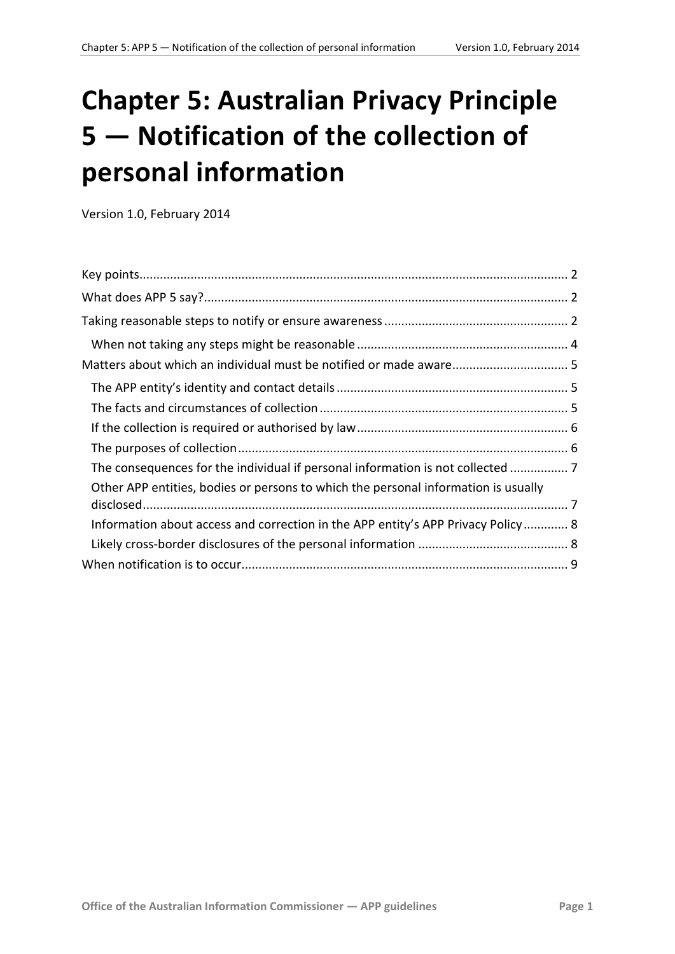# **Chapter 5: Australian Privacy Principle 5 — Notification of the collection of personal information**

Version 1.0, February 2014

<span id="page-0-0"></span>

| The consequences for the individual if personal information is not collected       |  |
|------------------------------------------------------------------------------------|--|
| Other APP entities, bodies or persons to which the personal information is usually |  |
| Information about access and correction in the APP entity's APP Privacy Policy 8   |  |
|                                                                                    |  |
|                                                                                    |  |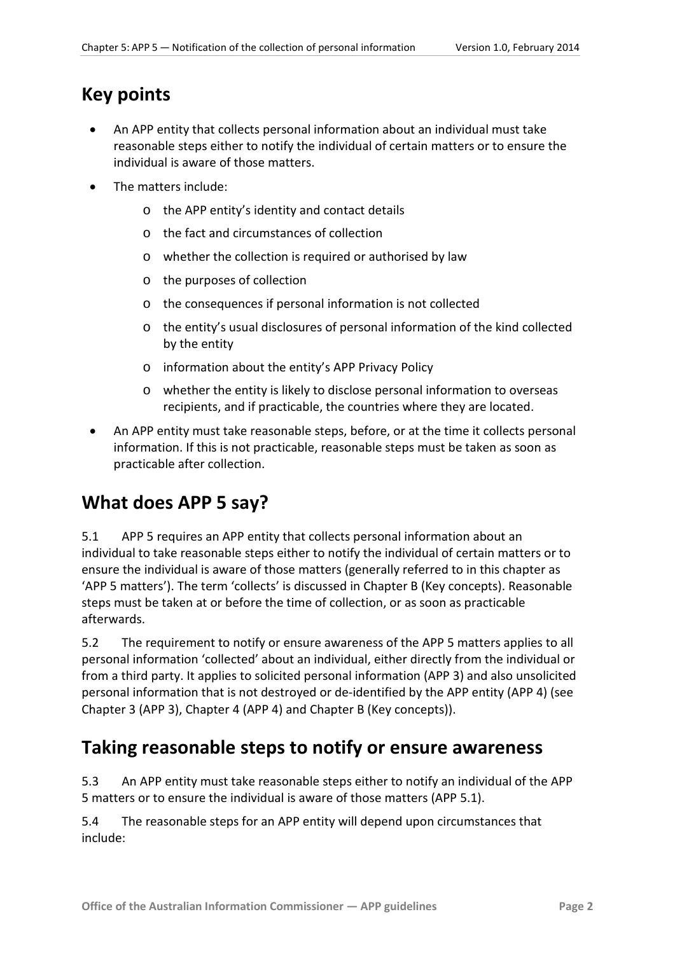### <span id="page-1-0"></span>**Key points**

- An APP entity that collects personal information about an individual must take reasonable steps either to notify the individual of certain matters or to ensure the individual is aware of those matters.
- The matters include:
	- o the APP entity's identity and contact details
	- o the fact and circumstances of collection
	- o whether the collection is required or authorised by law
	- o the purposes of collection
	- o the consequences if personal information is not collected
	- o the entity's usual disclosures of personal information of the kind collected by the entity
	- o information about the entity's APP Privacy Policy
	- o whether the entity is likely to disclose personal information to overseas recipients, and if practicable, the countries where they are located.
- An APP entity must take reasonable steps, before, or at the time it collects personal information. If this is not practicable, reasonable steps must be taken as soon as practicable after collection.

# <span id="page-1-1"></span>**What does APP 5 say?**

5.1 APP 5 requires an APP entity that collects personal information about an individual to take reasonable steps either to notify the individual of certain matters or to ensure the individual is aware of those matters (generally referred to in this chapter as 'APP 5 matters'). The term 'collects' is discussed in Chapter B (Key concepts). Reasonable steps must be taken at or before the time of collection, or as soon as practicable afterwards.

5.2 The requirement to notify or ensure awareness of the APP 5 matters applies to all personal information 'collected' about an individual, either directly from the individual or from a third party. It applies to solicited personal information (APP 3) and also unsolicited personal information that is not destroyed or de-identified by the APP entity (APP 4) (see Chapter 3 (APP 3), Chapter 4 (APP 4) and Chapter B (Key concepts)).

## <span id="page-1-2"></span>**Taking reasonable steps to notify or ensure awareness**

5.3 An APP entity must take reasonable steps either to notify an individual of the APP 5 matters or to ensure the individual is aware of those matters (APP 5.1).

5.4 The reasonable steps for an APP entity will depend upon circumstances that include: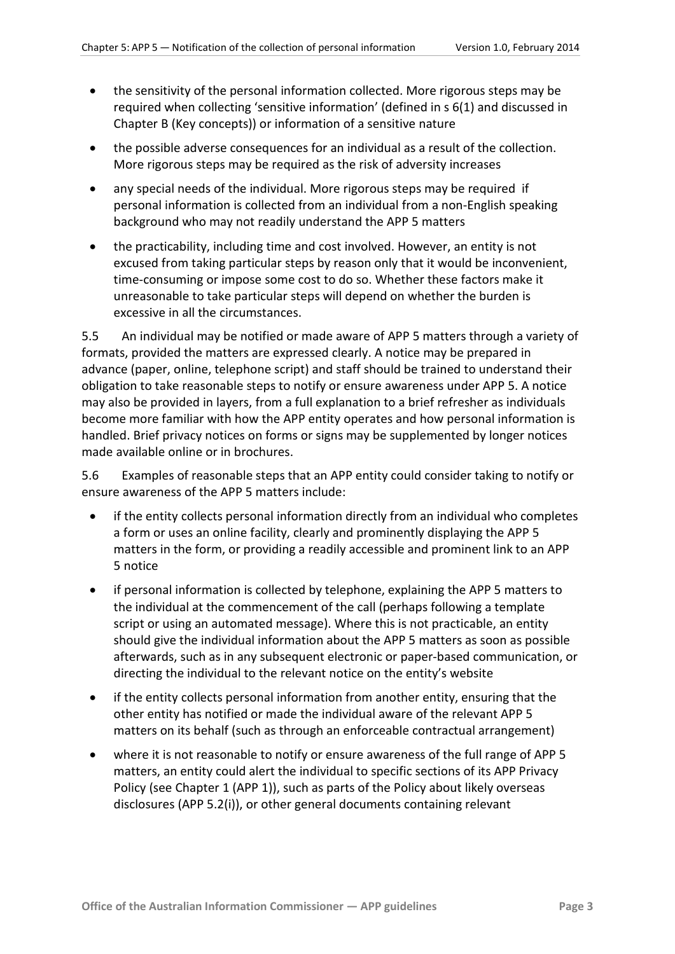- the sensitivity of the personal information collected. More rigorous steps may be required when collecting 'sensitive information' (defined in s 6(1) and discussed in Chapter B (Key concepts)) or information of a sensitive nature
- the possible adverse consequences for an individual as a result of the collection. More rigorous steps may be required as the risk of adversity increases
- any special needs of the individual. More rigorous steps may be required if personal information is collected from an individual from a non-English speaking background who may not readily understand the APP 5 matters
- the practicability, including time and cost involved. However, an entity is not excused from taking particular steps by reason only that it would be inconvenient, time-consuming or impose some cost to do so. Whether these factors make it unreasonable to take particular steps will depend on whether the burden is excessive in all the circumstances.

<span id="page-2-0"></span>5.5 An individual may be notified or made aware of APP 5 matters through a variety of formats, provided the matters are expressed clearly. A notice may be prepared in advance (paper, online, telephone script) and staff should be trained to understand their obligation to take reasonable steps to notify or ensure awareness under APP 5. A notice may also be provided in layers, from a full explanation to a brief refresher as individuals become more familiar with how the APP entity operates and how personal information is handled. Brief privacy notices on forms or signs may be supplemented by longer notices made available online or in brochures.

5.6 Examples of reasonable steps that an APP entity could consider taking to notify or ensure awareness of the APP 5 matters include:

- if the entity collects personal information directly from an individual who completes a form or uses an online facility, clearly and prominently displaying the APP 5 matters in the form, or providing a readily accessible and prominent link to an APP 5 notice
- if personal information is collected by telephone, explaining the APP 5 matters to the individual at the commencement of the call (perhaps following a template script or using an automated message). Where this is not practicable, an entity should give the individual information about the APP 5 matters as soon as possible afterwards, such as in any subsequent electronic or paper-based communication, or directing the individual to the relevant notice on the entity's website
- if the entity collects personal information from another entity, ensuring that the other entity has notified or made the individual aware of the relevant APP 5 matters on its behalf (such as through an enforceable contractual arrangement)
- where it is not reasonable to notify or ensure awareness of the full range of APP 5 matters, an entity could alert the individual to specific sections of its APP Privacy Policy (see Chapter 1 (APP 1)), such as parts of the Policy about likely overseas disclosures (APP 5.2(i)), or other general documents containing relevant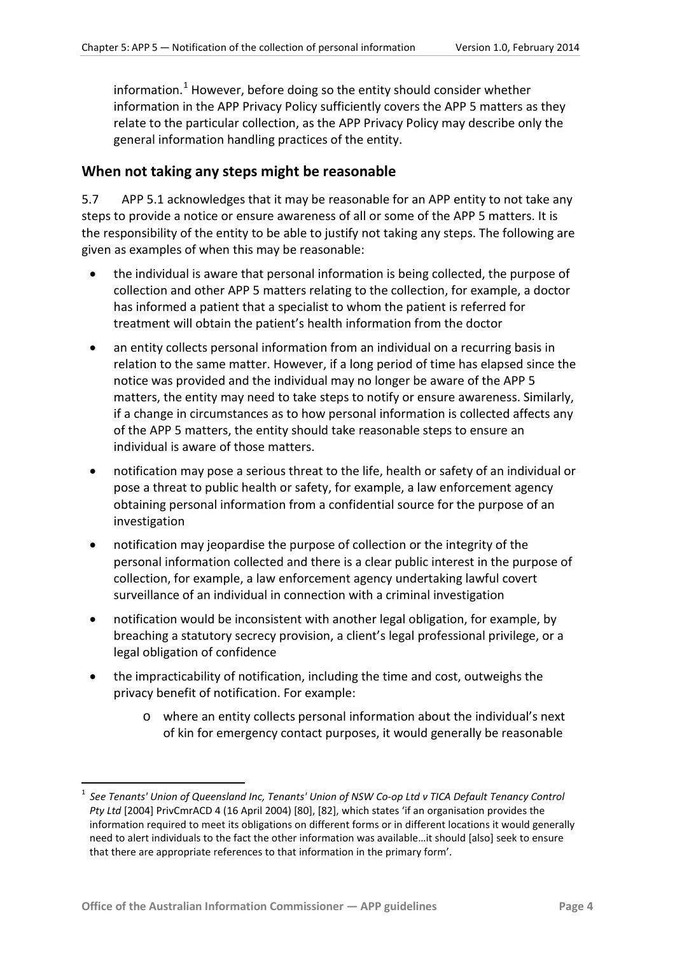information. [1](#page-0-0) However, before doing so the entity should consider whether information in the APP Privacy Policy sufficiently covers the APP 5 matters as they relate to the particular collection, as the APP Privacy Policy may describe only the general information handling practices of the entity.

#### <span id="page-3-0"></span>**When not taking any steps might be reasonable**

5.7 APP 5.1 acknowledges that it may be reasonable for an APP entity to not take any steps to provide a notice or ensure awareness of all or some of the APP 5 matters. It is the responsibility of the entity to be able to justify not taking any steps. The following are given as examples of when this may be reasonable:

- the individual is aware that personal information is being collected, the purpose of collection and other APP 5 matters relating to the collection, for example, a doctor has informed a patient that a specialist to whom the patient is referred for treatment will obtain the patient's health information from the doctor
- an entity collects personal information from an individual on a recurring basis in relation to the same matter. However, if a long period of time has elapsed since the notice was provided and the individual may no longer be aware of the APP 5 matters, the entity may need to take steps to notify or ensure awareness. Similarly, if a change in circumstances as to how personal information is collected affects any of the APP 5 matters, the entity should take reasonable steps to ensure an individual is aware of those matters.
- notification may pose a serious threat to the life, health or safety of an individual or pose a threat to public health or safety, for example, a law enforcement agency obtaining personal information from a confidential source for the purpose of an investigation
- notification may jeopardise the purpose of collection or the integrity of the personal information collected and there is a clear public interest in the purpose of collection, for example, a law enforcement agency undertaking lawful covert surveillance of an individual in connection with a criminal investigation
- notification would be inconsistent with another legal obligation, for example, by breaching a statutory secrecy provision, a client's legal professional privilege, or a legal obligation of confidence
- the impracticability of notification, including the time and cost, outweighs the privacy benefit of notification. For example:
	- o where an entity collects personal information about the individual's next of kin for emergency contact purposes, it would generally be reasonable

<u>.</u>

 $\overline{a}$ 

<span id="page-3-1"></span><sup>&</sup>lt;sup>1</sup> See Tenants' Union of Queensland Inc, Tenants' Union of NSW Co-op Ltd v TICA Default Tenancy Control *Pty Lt d* [2004] PrivCmrACD 4 (16 April 2004) [80], [82], which states 'if an organisation provides the information required to meet its obligations on different forms or in different locations it would generally need to alert individuals to the fact the other information was available…it should [also] seek to ensure that there are appropriate references to that information in the primary form'.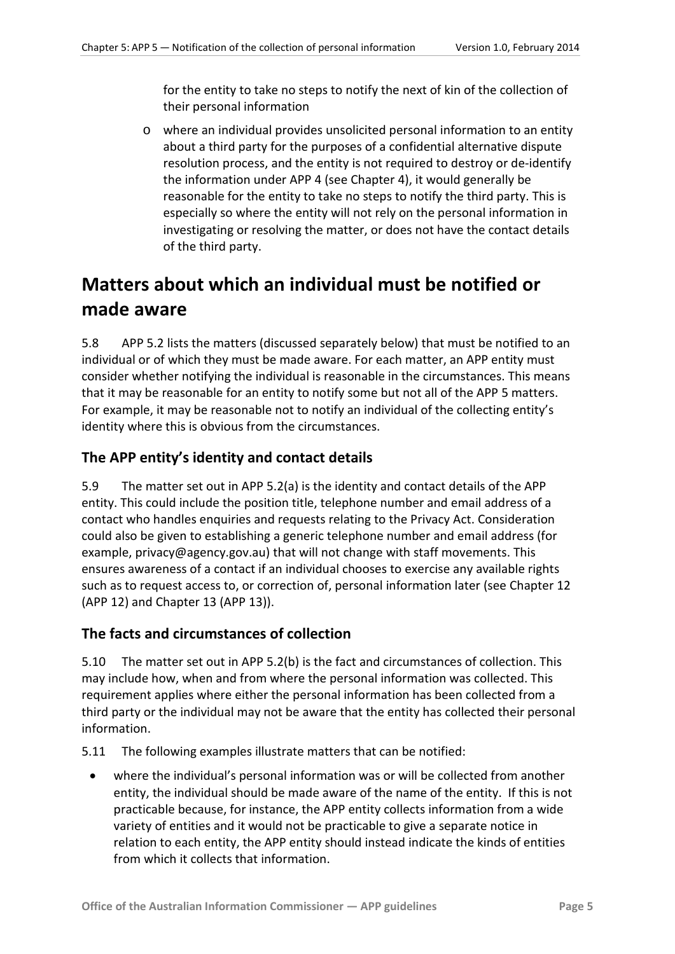for the entity to take no steps to notify the next of kin of the collection of their personal information

o where an individual provides unsolicited personal information to an entity about a third party for the purposes of a confidential alternative dispute resolution process, and the entity is not required to destroy or de-identify the information under APP 4 (see Chapter 4), it would generally be reasonable for the entity to take no steps to notify the third party. This is especially so where the entity will not rely on the personal information in investigating or resolving the matter, or does not have the contact details of the third party.

# <span id="page-4-0"></span>**Matters about which an individual must be notified or made aware**

5.8 APP 5.2 lists the matters (discussed separately below) that must be notified to an individual or of which they must be made aware. For each matter, an APP entity must consider whether notifying the individual is reasonable in the circumstances. This means that it may be reasonable for an entity to notify some but not all of the APP 5 matters. For example, it may be reasonable not to notify an individual of the collecting entity's identity where this is obvious from the circumstances.

#### <span id="page-4-1"></span>**The APP entity's identity and contact details**

5.9 The matter set out in APP 5.2(a) is the identity and contact details of the APP entity. This could include the position title, telephone number and email address of a contact who handles enquiries and requests relating to the Privacy Act. Consideration could also be given to establishing a generic telephone number and email address (for example, privacy@agency.gov.au) that will not change with staff movements. This ensures awareness of a contact if an individual chooses to exercise any available rights such as to request access to, or correction of, personal information later (see Chapter 12 (APP 12) and Chapter 13 (APP 13)).

#### <span id="page-4-2"></span>**The facts and circumstances of collection**

5.10 The matter set out in APP 5.2(b) is the fact and circumstances of collection. This may include how, when and from where the personal information was collected. This requirement applies where either the personal information has been collected from a third party or the individual may not be aware that the entity has collected their personal information.

5.11 The following examples illustrate matters that can be notified:

• where the individual's personal information was or will be collected from another entity, the individual should be made aware of the name of the entity. If this is not practicable because, for instance, the APP entity collects information from a wide variety of entities and it would not be practicable to give a separate notice in relation to each entity, the APP entity should instead indicate the kinds of entities from which it collects that information.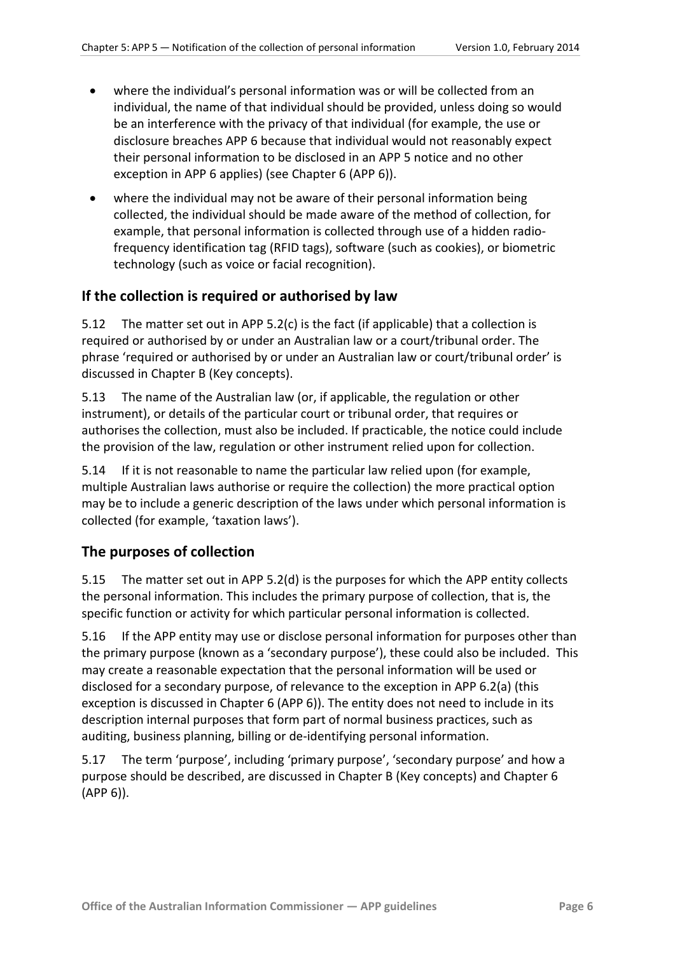- where the individual's personal information was or will be collected from an individual, the name of that individual should be provided, unless doing so would be an interference with the privacy of that individual (for example, the use or disclosure breaches APP 6 because that individual would not reasonably expect their personal information to be disclosed in an APP 5 notice and no other exception in APP 6 applies) (see Chapter 6 (APP 6)).
- where the individual may not be aware of their personal information being collected, the individual should be made aware of the method of collection, for example, that personal information is collected through use of a hidden radiofrequency identification tag (RFID tags), software (such as cookies), or biometric technology (such as voice or facial recognition).

#### <span id="page-5-0"></span>**If the collection is required or authorised by law**

5.12 The matter set out in APP 5.2(c) is the fact (if applicable) that a collection is required or authorised by or under an Australian law or a court/tribunal order. The phrase 'required or authorised by or under an Australian law or court/tribunal order' is discussed in Chapter B (Key concepts).

5.13 The name of the Australian law (or, if applicable, the regulation or other instrument), or details of the particular court or tribunal order, that requires or authorises the collection, must also be included. If practicable, the notice could include the provision of the law, regulation or other instrument relied upon for collection.

5.14 If it is not reasonable to name the particular law relied upon (for example, multiple Australian laws authorise or require the collection) the more practical option may be to include a generic description of the laws under which personal information is collected (for example, 'taxation laws').

#### <span id="page-5-1"></span>**The purposes of collection**

5.15 The matter set out in APP 5.2(d) is the purposes for which the APP entity collects the personal information. This includes the primary purpose of collection, that is, the specific function or activity for which particular personal information is collected.

5.16 If the APP entity may use or disclose personal information for purposes other than the primary purpose (known as a 'secondary purpose'), these could also be included. This may create a reasonable expectation that the personal information will be used or disclosed for a secondary purpose, of relevance to the exception in APP 6.2(a) (this exception is discussed in Chapter 6 (APP 6)). The entity does not need to include in its description internal purposes that form part of normal business practices, such as auditing, business planning, billing or de-identifying personal information.

5.17 The term 'purpose', including 'primary purpose', 'secondary purpose' and how a purpose should be described, are discussed in Chapter B (Key concepts) and Chapter 6 (APP 6)).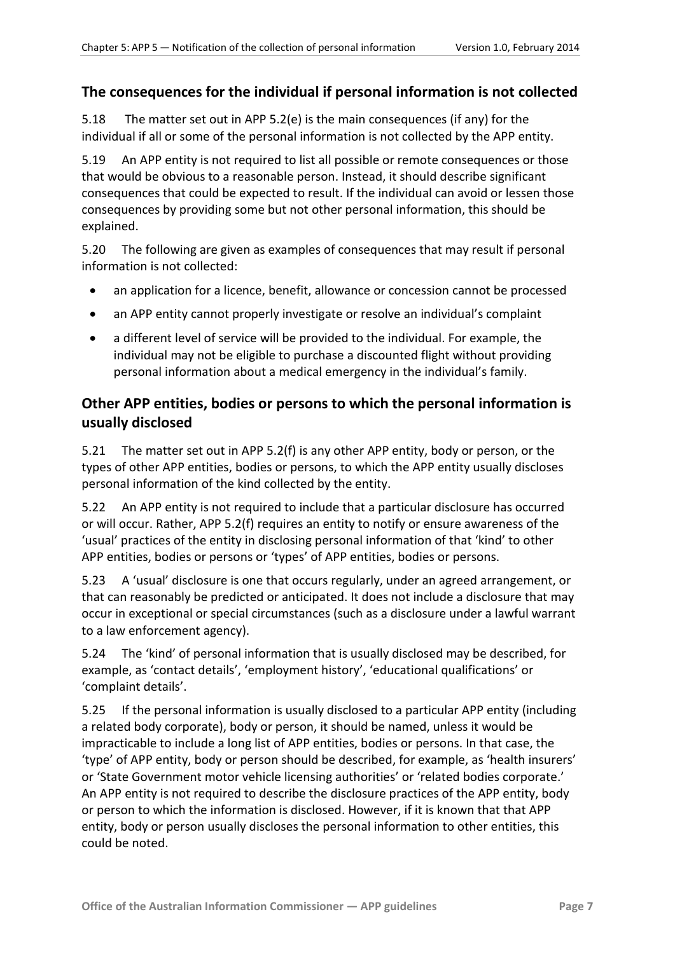#### <span id="page-6-0"></span>**The consequences for the individual if personal information is not collected**

5.18 The matter set out in APP 5.2(e) is the main consequences (if any) for the individual if all or some of the personal information is not collected by the APP entity.

5.19 An APP entity is not required to list all possible or remote consequences or those that would be obvious to a reasonable person. Instead, it should describe significant consequences that could be expected to result. If the individual can avoid or lessen those consequences by providing some but not other personal information, this should be explained.

5.20 The following are given as examples of consequences that may result if personal information is not collected:

- an application for a licence, benefit, allowance or concession cannot be processed
- an APP entity cannot properly investigate or resolve an individual's complaint
- a different level of service will be provided to the individual. For example, the individual may not be eligible to purchase a discounted flight without providing personal information about a medical emergency in the individual's family.

#### <span id="page-6-1"></span>**Other APP entities, bodies or persons to which the personal information is usually disclosed**

5.21 The matter set out in APP 5.2(f) is any other APP entity, body or person, or the types of other APP entities, bodies or persons, to which the APP entity usually discloses personal information of the kind collected by the entity.

5.22 An APP entity is not required to include that a particular disclosure has occurred or will occur. Rather, APP 5.2(f) requires an entity to notify or ensure awareness of the 'usual' practices of the entity in disclosing personal information of that 'kind' to other APP entities, bodies or persons or 'types' of APP entities, bodies or persons.

5.23 A 'usual' disclosure is one that occurs regularly, under an agreed arrangement, or that can reasonably be predicted or anticipated. It does not include a disclosure that may occur in exceptional or special circumstances (such as a disclosure under a lawful warrant to a law enforcement agency).

5.24 The 'kind' of personal information that is usually disclosed may be described, for example, as 'contact details', 'employment history', 'educational qualifications' or 'complaint details'.

5.25 If the personal information is usually disclosed to a particular APP entity (including a related body corporate), body or person, it should be named, unless it would be impracticable to include a long list of APP entities, bodies or persons. In that case, the 'type' of APP entity, body or person should be described, for example, as 'health insurers' or 'State Government motor vehicle licensing authorities' or 'related bodies corporate.' An APP entity is not required to describe the disclosure practices of the APP entity, body or person to which the information is disclosed. However, if it is known that that APP entity, body or person usually discloses the personal information to other entities, this could be noted.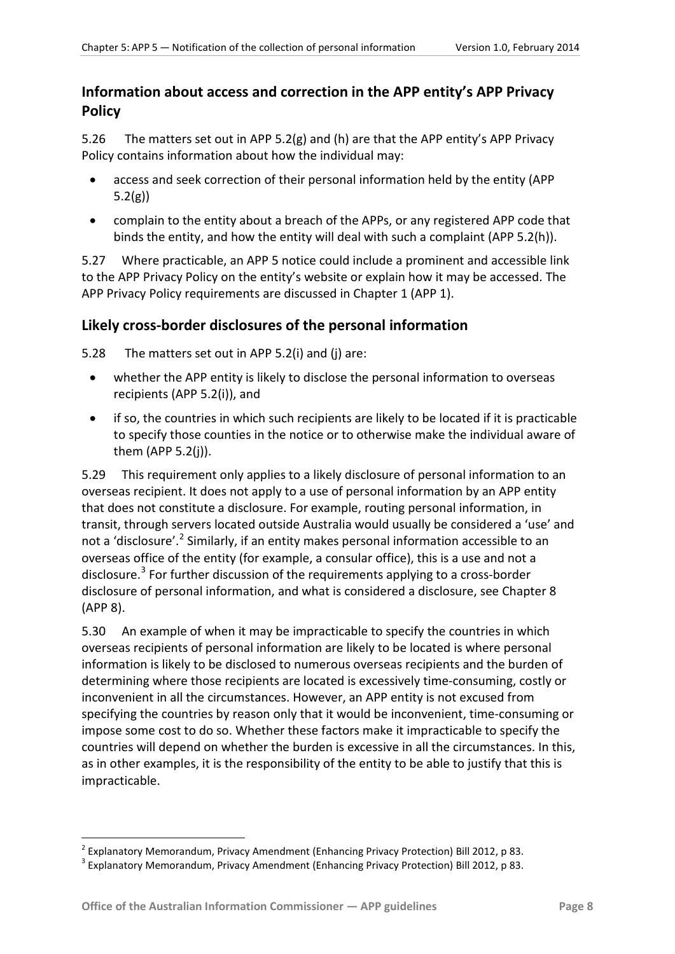#### <span id="page-7-0"></span>**Information about access and correction in the APP entity's APP Privacy Policy**

5.26 The matters set out in APP 5.2(g) and (h) are that the APP entity's APP Privacy Policy contains information about how the individual may:

- access and seek correction of their personal information held by the entity (APP 5.2(g))
- complain to the entity about a breach of the APPs, or any registered APP code that binds the entity, and how the entity will deal with such a complaint (APP 5.2(h)).

5.27 Where practicable, an APP 5 notice could include a prominent and accessible link to the APP Privacy Policy on the entity's website or explain how it may be accessed. The APP Privacy Policy requirements are discussed in Chapter 1 (APP 1).

#### <span id="page-7-1"></span>**Likely cross-border disclosures of the personal information**

5.28 The matters set out in APP 5.2(i) and (j) are:

- whether the APP entity is likely to disclose the personal information to overseas recipients (APP 5.2(i)), and
- if so, the countries in which such recipients are likely to be located if it is practicable to specify those counties in the notice or to otherwise make the individual aware of them (APP 5.2(j)).

5.29 This requirement only applies to a likely disclosure of personal information to an overseas recipient. It does not apply to a use of personal information by an APP entity that does not constitute a disclosure. For example, routing personal information, in transit, through servers located outside Australia would usually be considered a 'use' and not a 'disclosure'.<sup>[2](#page-3-1)</sup> Similarly, if an entity makes personal information accessible to an overseas office of the entity (for example, a consular office), this is a use and not a disclosure.<sup>[3](#page-7-2)</sup> For further discussion of the requirements applying to a cross-border disclosure of personal information, and what is considered a disclosure, see Chapter 8 (APP 8).

5.30 An example of when it may be impracticable to specify the countries in which overseas recipients of personal information are likely to be located is where personal information is likely to be disclosed to numerous overseas recipients and the burden of determining where those recipients are located is excessively time-consuming, costly or inconvenient in all the circumstances. However, an APP entity is not excused from specifying the countries by reason only that it would be inconvenient, time-consuming or impose some cost to do so. Whether these factors make it impracticable to specify the countries will depend on whether the burden is excessive in all the circumstances. In this, as in other examples, it is the responsibility of the entity to be able to justify that this is impracticable.

1

<span id="page-7-3"></span><sup>&</sup>lt;sup>2</sup> Explanatory Memorandum, Privacy Amendment (Enhancing Privacy Protection) Bill 2012, p 83. <sup>3</sup> Explanatory Memorandum, Privacy Amendment (Enhancing Privacy Protection) Bill 2012, p 83.

<span id="page-7-2"></span>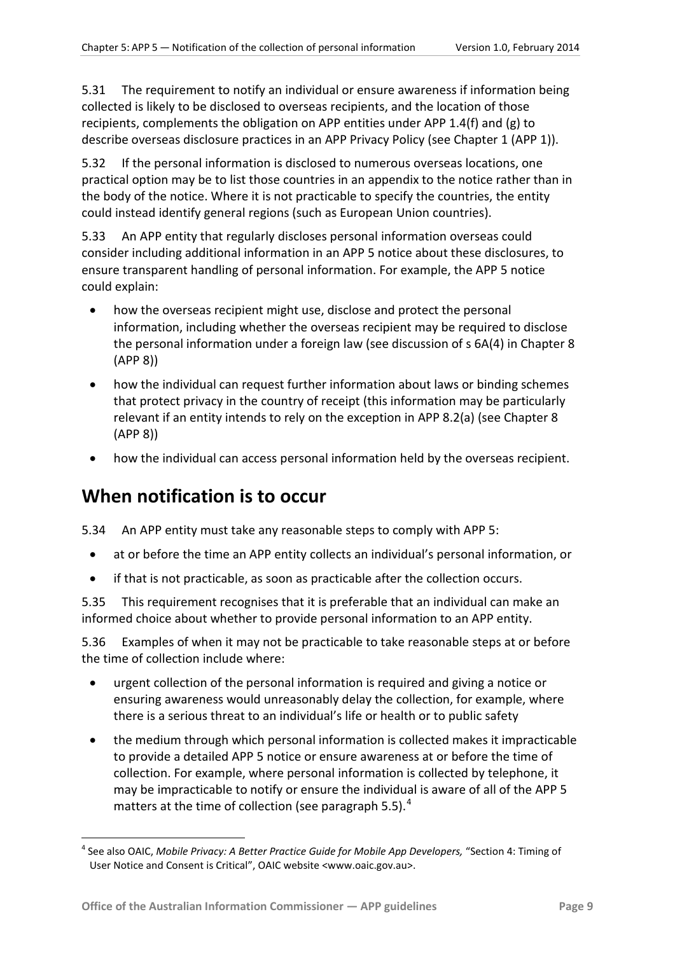5.31 The requirement to notify an individual or ensure awareness if information being collected is likely to be disclosed to overseas recipients, and the location of those recipients, complements the obligation on APP entities under APP 1.4(f) and (g) to describe overseas disclosure practices in an APP Privacy Policy (see Chapter 1 (APP 1)).

5.32 If the personal information is disclosed to numerous overseas locations, one practical option may be to list those countries in an appendix to the notice rather than in the body of the notice. Where it is not practicable to specify the countries, the entity could instead identify general regions (such as European Union countries).

5.33 An APP entity that regularly discloses personal information overseas could consider including additional information in an APP 5 notice about these disclosures, to ensure transparent handling of personal information. For example, the APP 5 notice could explain:

- how the overseas recipient might use, disclose and protect the personal information, including whether the overseas recipient may be required to disclose the personal information under a foreign law (see discussion of s 6A(4) in Chapter 8 (APP 8))
- how the individual can request further information about laws or binding schemes that protect privacy in the country of receipt (this information may be particularly relevant if an entity intends to rely on the exception in APP 8.2(a) (see Chapter 8 (APP 8))
- how the individual can access personal information held by the overseas recipient.

# <span id="page-8-0"></span>**When notification is to occur**

1

5.34 An APP entity must take any reasonable steps to comply with APP 5:

- at or before the time an APP entity collects an individual's personal information, or
- if that is not practicable, as soon as practicable after the collection occurs.

5.35 This requirement recognises that it is preferable that an individual can make an informed choice about whether to provide personal information to an APP entity.

5.36 Examples of when it may not be practicable to take reasonable steps at or before the time of collection include where:

- urgent collection of the personal information is required and giving a notice or ensuring awareness would unreasonably delay the collection, for example, where there is a serious threat to an individual's life or health or to public safety
- the medium through which personal information is collected makes it impracticable to provide a detailed APP 5 notice or ensure awareness at or before the time of collection. For example, where personal information is collected by telephone, it may be impracticable to notify or ensure the individual is aware of all of the APP 5 matters at the time of collection (see paragraph [5.5\)](#page-2-0). $<sup>4</sup>$  $<sup>4</sup>$  $<sup>4</sup>$ </sup>

<sup>&</sup>lt;sup>4</sup> See also OAIC, *Mobile Privacy: A Better Practice Guide for Mobile App Developers, "Section 4: Timing of* User Notice and Consent is Critical", OAIC website <www.oaic.gov.au>.